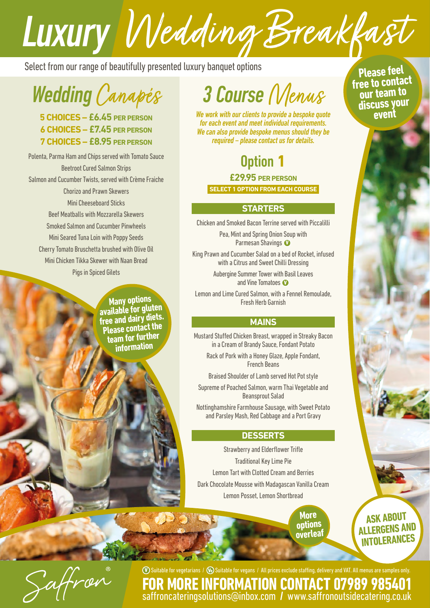# **LUXUITY Medding Breakfack**<br>Select from our range of beautifully presented luxury banquet options

*Wedding* Canapés

**5 CHOICES – £6.45 PER PERSON 6 CHOICES – £7.45 PER PERSON 7 CHOICES – £8.95 PER PERSON**

Polenta, Parma Ham and Chips served with Tomato Sauce Beetroot Cured Salmon Strips Salmon and Cucumber Twists, served with Crème Fraiche Chorizo and Prawn Skewers Mini Cheeseboard Sticks Beef Meatballs with Mozzarella Skewers Smoked Salmon and Cucumber Pinwheels Mini Seared Tuna Loin with Poppy Seeds Cherry Tomato Bruschetta brushed with Olive Oil Mini Chicken Tikka Skewer with Naan Bread Pigs in Spiced Gilets

> **Many options available for gluten free and dairy diets. Please contact the team for further information**

## *3 Course* Menus

*We work with our clients to provide a bespoke quote for each event and meet individual requirements. We can also provide bespoke menus should they be required – please contact us for details.*

Option **1 £29.95 PER PERSON SELECT 1 OPTION FROM EACH COURSE**

#### **STARTERS**

Chicken and Smoked Bacon Terrine served with Piccalilli

Pea, Mint and Spring Onion Soup with Parmesan Shavings **v**

King Prawn and Cucumber Salad on a bed of Rocket, infused with a Citrus and Sweet Chilli Dressing

> Aubergine Summer Tower with Basil Leaves and Vine Tomatoes **v**

Lemon and Lime Cured Salmon, with a Fennel Remoulade, Fresh Herb Garnish

#### **MAINS**

Mustard Stuffed Chicken Breast, wrapped in Streaky Bacon in a Cream of Brandy Sauce, Fondant Potato

Rack of Pork with a Honey Glaze, Apple Fondant, French Beans

Braised Shoulder of Lamb served Hot Pot style

Supreme of Poached Salmon, warm Thai Vegetable and Beansprout Salad

Nottinghamshire Farmhouse Sausage, with Sweet Potato and Parsley Mash, Red Cabbage and a Port Gravy

#### **DESSERTS**

Strawberry and Elderflower Trifle Traditional Key Lime Pie Lemon Tart with Clotted Cream and Berries Dark Chocolate Mousse with Madagascan Vanilla Cream Lemon Posset, Lemon Shortbread

> **More options overleaf**

**ASK ABOUT ALLERGENS AND INTOLERANCES**



**v** Suitable for vegetarians / **ve** Suitable for vegans / All prices exclude staffing, delivery and VAT. All menus are samples only. **E INFORMATION CONTACT 07989 9854** [saffroncateringsolutions@inbox.com](mailto:saffroncateringsolutions%40inbox.com?subject=) **/** [www.saffronoutsidecatering.co.uk](http://www.saffronoutsidecatering.co.uk)

**Please feel free to contact our team to discuss your event**